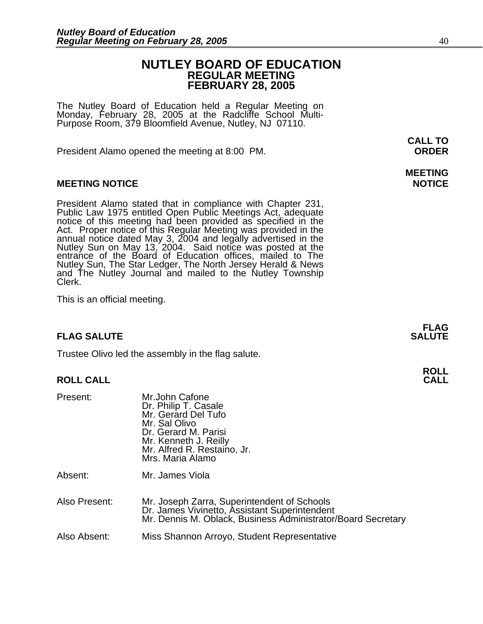### **NUTLEY BOARD OF EDUCATION REGULAR MEETING FEBRUARY 28, 2005**

The Nutley Board of Education held a Regular Meeting on Monday, February 28, 2005 at the Radcliffe School Multi-Purpose Room, 379 Bloomfield Avenue, Nutley, NJ 07110.

President Alamo opened the meeting at 8:00 PM. **ORDER**

### **MEETING NOTICE NOTICE**

President Alamo stated that in compliance with Chapter 231,<br>Public Law 1975 entitled Open Public Meetings Act, adequate<br>notice of this meeting had been provided as specified in the<br>Act. Proper notice of this Regular Meetin annual notice dated May 3, 2004 and legally advertised in the Nutley Sun on May 13, 2004. Said notice was posted at the entrance of the Board of Education offices, mailed to The Nutley Sun, The Star Ledger, The North Jersey Herald & News<br>and The Nutley Journal and mailed to the Nutley Township<br>Clerk.

This is an official meeting.

#### **FLAG SALUTE SALUTE SALUTE**

Trustee Olivo led the assembly in the flag salute.

#### **ROLL CALL**

| Present:      | Mr.John Cafone<br>Dr. Philip T. Casale<br>Mr. Gerard Del Tufo<br>Mr. Sal Olivo<br>Dr. Gerard M. Parisi<br>Mr. Kenneth J. Reilly<br>Mr. Alfred R. Restaino, Jr.<br>Mrs. Maria Alamo |
|---------------|------------------------------------------------------------------------------------------------------------------------------------------------------------------------------------|
| Absent:       | Mr. James Viola                                                                                                                                                                    |
| Also Present: | Mr. Joseph Zarra, Superintendent of Schools<br>Dr. James Vivinetto, Assistant Superintendent<br>Mr. Dennis M. Oblack, Business Administrator/Board Secretary                       |

Also Absent: Miss Shannon Arroyo, Student Representative

**CALL TO** 

# **MEETING**

**FLAG**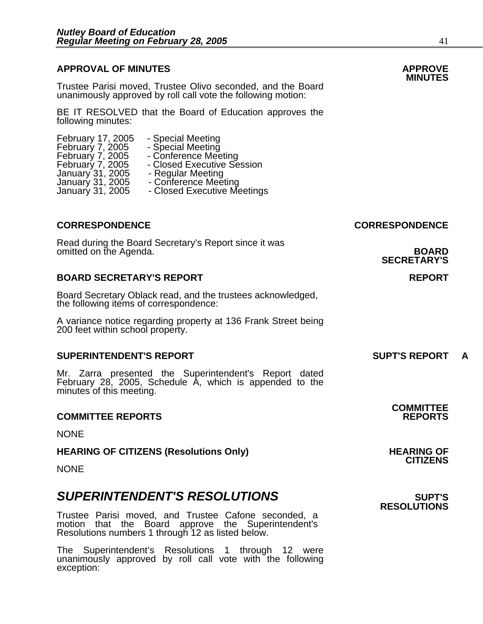# **APPROVAL OF MINUTES APPROVE**

**MINUTES** Trustee Parisi moved, Trustee Olivo seconded, and the Board unanimously approved by roll call vote the following motion:

BE IT RESOLVED that the Board of Education approves the following minutes:

| February 17, 2005<br>February 7, 2005 | - Special Meeting<br>- Special Meeting |
|---------------------------------------|----------------------------------------|
| February 7, 2005                      | - Conference Meeting                   |
| February 7, 2005                      | - Closed Executive Session             |
| January 31, 2005                      | - Regular Meeting                      |
| January 31, 2005                      | - Conference Meeting                   |
| January 31, 2005                      | - Closed Executive Meetings            |
|                                       |                                        |

### **CORRESPONDENCE CORRESPONDENCE**

Read during the Board Secretary's Report since it was omitted on the Agenda. **BOARD** 

#### **BOARD SECRETARY'S REPORT REPORT**

Board Secretary Oblack read, and the trustees acknowledged, the following items of correspondence:

A variance notice regarding property at 136 Frank Street being 200 feet within school property.

#### **SUPERINTENDENT'S REPORT SUPT'S REPORT A**

Mr. Zarra presented the Superintendent's Report dated February 28, 2005, Schedule A, which is appended to the minutes of this meeting.

#### **COMMITTEE REPORTS REPORTS**

**NONE** 

**HEARING OF CITIZENS (Resolutions Only) HEARING OF HEARING OF** 

**NONE** 

### **SUPERINTENDENT'S RESOLUTIONS** *SUPERINTENDENT'S*

Trustee Parisi moved, and Trustee Cafone seconded, a motion that the Board approve the Superintendent's Resolutions numbers 1 through 12 as listed below.

The Superintendent's Resolutions 1 through 12 were unanimously approved by roll call vote with the following exception: **RESOLUTIONS** 

**SECRETARY'S** 

**COMMITTEE** 

**CITIZENS**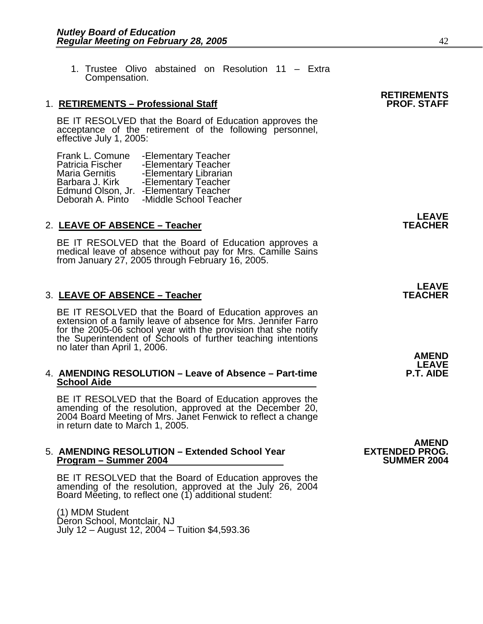1. Trustee Olivo abstained on Resolution 11 – Extra Compensation.

#### 1. **RETIREMENTS - Professional Staff**

BE IT RESOLVED that the Board of Education approves the acceptance of the retirement of the following personnel, effective July 1, 2005:

| Frank L. Comune       | -Elementary Teacher    |
|-----------------------|------------------------|
| Patricia Fischer      | -Elementary Teacher    |
| <b>Maria Gernitis</b> | -Elementary Librarian  |
| Barbara J. Kirk       | -Elementary Teacher    |
| Edmund Olson, Jr.     | -Elementary Teacher    |
| Deborah A. Pinto      | -Middle School Teacher |

#### **LEAVE**  2. LEAVE OF ABSENCE – Teacher Teacher TEACHER

BE IT RESOLVED that the Board of Education approves a medical leave of absence without pay for Mrs. Camille Sains from January 27, 2005 through February 16, 2005.

#### **LEAVE**  3. LEAVE OF ABSENCE – Teacher **TEACHER TEACHER**

BE IT RESOLVED that the Board of Education approves an extension of a family leave of absence for Mrs. Jennifer Farro for the 2005-06 school year with the provision that she notify the Superintendent of Schools of further teaching intentions no later than April 1, 2006.

### **AMEND LEAVE**  4. **AMENDING RESOLUTION – Leave of Absence – Part-time P.T. AIDE School Aide**

BE IT RESOLVED that the Board of Education approves the amending of the resolution, approved at the December 20, 2004 Board Meeting of Mrs. Janet Fenwick to reflect a change in return date to March 1, 2005.

#### 5. **AMENDING RESOLUTION – Extended School Year EXTENDED PROG. Program – Summer 2004**

BE IT RESOLVED that the Board of Education approves the amending of the resolution, approved at the July 26, 2004 Board Meeting, to reflect one (1) additional student:

(1) MDM Student Déron School, Montclair, NJ July 12 – August 12, 2004 – Tuition \$4,593.36

# **AMEND**

**RETIREMENTS**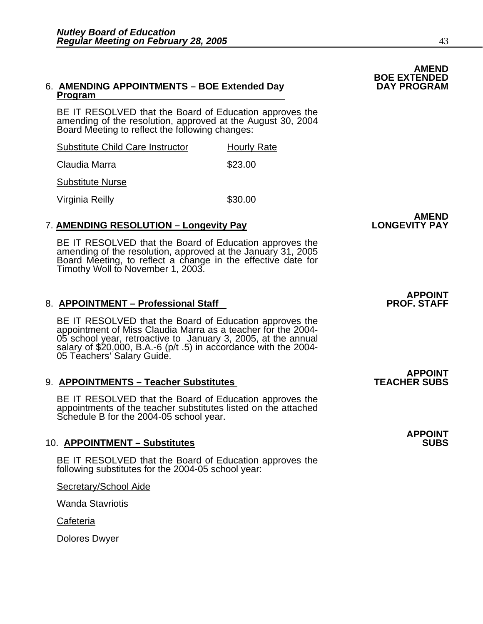#### 6. **AMENDING APPOINTMENTS – BOE Extended Day DAY PROGRAM Program**

BE IT RESOLVED that the Board of Education approves the amending of the resolution, approved at the August 30, 2004 Board Meeting to reflect the following changes:

| Substitute Child Care Instructor | <b>Hourly Rate</b> |
|----------------------------------|--------------------|
| Claudia Marra                    | \$23.00            |

Substitute Nurse

Virginia Reilly **\$30.00** 

#### **AMEND** 7. **AMENDING RESOLUTION – Longevity Pay LONGEVITY PAY**

BE IT RESOLVED that the Board of Education approves the amending of the resolution, approved at the January 31, 2005 Board Meeting, to reflect a change in the effective date for Timothy Woll to November 1, 2003.

### 8. **APPOINTMENT – Professional Staff**

BE IT RESOLVED that the Board of Education approves the appointment of Miss Claudia Marra as a teacher for the 2004- 05 school year, retroactive to January 3, 2005, at the annual salary of \$20,000, B.A.-6 (p/t .5) in accordance with the 2004- 05 Teachers' Salary Guide.

#### 9. **APPOINTMENTS - Teacher Substitutes**

BE IT RESOLVED that the Board of Education approves the appointments of the teacher substitutes listed on the attached Schedule B for the 2004-05 school year.

### 10. **APPOINTMENT - Substitutes**

BE IT RESOLVED that the Board of Education approves the following substitutes for the 2004-05 school year:

Secretary/School Aide

Wanda Stavriotis

Cafeteria

Dolores Dwyer

**APPOINT<br>PROF. STAFF** 

**APPOINT<br>TEACHER SUBS** 

**APPOINT** 

# **AMEND BOE EXTENDED**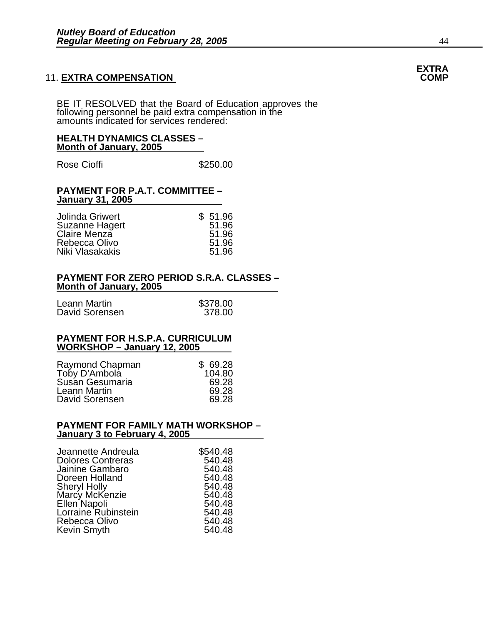#### **11. EXTRA COMPENSATION**

BE IT RESOLVED that the Board of Education approves the following personnel be paid extra compensation in the amounts indicated for services rendered:

#### **HEALTH DYNAMICS CLASSES – Month of January, 2005**

Rose Cioffi **\$250.00** 

#### **PAYMENT FOR P.A.T. COMMITTEE – January 31, 2005**

| Jolinda Griwert | \$51.96 |
|-----------------|---------|
| Suzanne Hagert  | 51.96   |
| Claire Menza    | 51.96   |
| Rebecca Olivo   | 51.96   |
| Niki Vlasakakis | 51.96   |

#### **PAYMENT FOR ZERO PERIOD S.R.A. CLASSES – Month of January, 2005**

| Leann Martin   | \$378.00 |
|----------------|----------|
| David Sorensen | 378.00   |

#### **PAYMENT FOR H.S.P.A. CURRICULUM WORKSHOP – January 12, 2005**

| Raymond Chapman | \$69.28 |
|-----------------|---------|
| Toby D'Ambola   | 104.80  |
| Susan Gesumaria | 69.28   |
| Leann Martin    | 69.28   |
| David Sorensen  | 69.28   |

#### **PAYMENT FOR FAMILY MATH WORKSHOP – January 3 to February 4, 2005**

| Jeannette Andreula       | \$540.48 |
|--------------------------|----------|
| <b>Dolores Contreras</b> | 540.48   |
| Jainine Gambaro          | 540.48   |
| Doreen Holland           | 540.48   |
| <b>Sheryl Holly</b>      | 540.48   |
| Marcy McKenzie           | 540.48   |
| Ellen Napoli             | 540.48   |
| Lorraine Rubinstein      | 540.48   |
| Rebecca Olivo            | 540.48   |
| Kevin Smyth              | 540.48   |

# **EXTRA**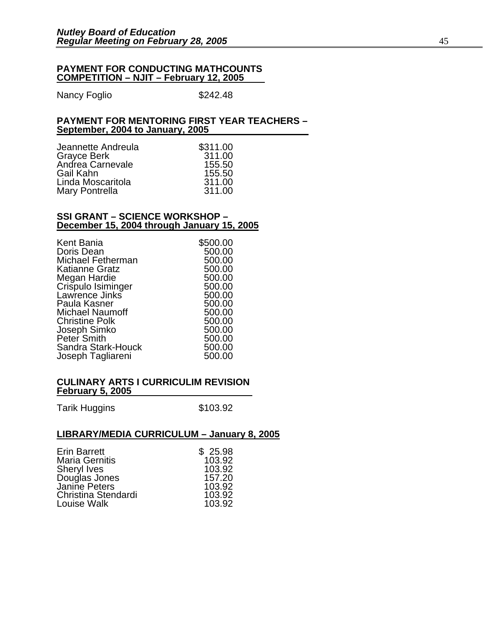#### **PAYMENT FOR CONDUCTING MATHCOUNTS COMPETITION – NJIT – February 12, 2005**

Nancy Foglio  $$242.48$ 

#### **PAYMENT FOR MENTORING FIRST YEAR TEACHERS – September, 2004 to January, 2005**

| \$311.00 |
|----------|
| 311.00   |
| 155.50   |
| 155.50   |
| 311.00   |
| 311.00   |
|          |

#### **SSI GRANT – SCIENCE WORKSHOP – December 15, 2004 through January 15, 2005**

| Kent Bania               | \$500.00 |
|--------------------------|----------|
| Doris Dean               | 500.00   |
| <b>Michael Fetherman</b> | 500.00   |
| <b>Katianne Gratz</b>    | 500.00   |
| Megan Hardie             | 500.00   |
| Crispulo Isiminger       | 500.00   |
| Lawrence Jinks           | 500.00   |
| Paula Kasner             | 500.00   |
| <b>Michael Naumoff</b>   | 500.00   |
| <b>Christine Polk</b>    | 500.00   |
| Joseph Simko             | 500.00   |
| Peter Smith              | 500.00   |
| Sandra Stark-Houck       | 500.00   |
| Joseph Tagliareni        | 500.00   |

#### **CULINARY ARTS I CURRICULIM REVISION February 5, 2005**

Tarik Huggins \$103.92

### **LIBRARY/MEDIA CURRICULUM – January 8, 2005**

| \$25.98 |
|---------|
| 103.92  |
| 103.92  |
| 157.20  |
| 103.92  |
| 103.92  |
| 103.92  |
|         |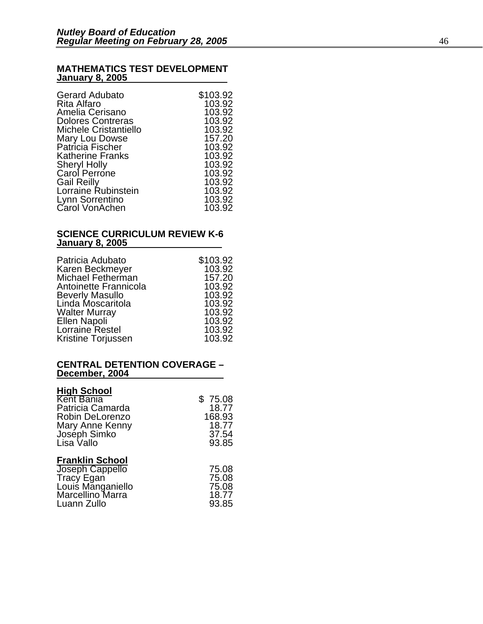#### **MATHEMATICS TEST DEVELOPMENT January 8, 2005**

| <b>Gerard Adubato</b>              | \$103.92 |
|------------------------------------|----------|
| Rita Alfaro                        | 103.92   |
| Amelia Cerisano                    | 103.92   |
| <b>Dolores Contreras</b>           | 103.92   |
| <b>Michele Cristantiello</b>       | 103.92   |
| Mary Lou Dowse<br>Patricia Fischer | 157.20   |
|                                    | 103.92   |
| <b>Katherine Franks</b>            | 103.92   |
| <b>Sheryl Holly</b>                | 103.92   |
| Carol Perrone                      | 103.92   |
| <b>Gail Reilly</b>                 | 103.92   |
| Lorraine Rubinstein                | 103.92   |
| Lynn Sorrentino                    | 103.92   |
| Carol VonAchen                     | 103.92   |

#### **SCIENCE CURRICULUM REVIEW K-6 January 8, 2005**

| Patricia Adubato       | \$103.92 |
|------------------------|----------|
| Karen Beckmeyer        | 103.92   |
| Michael Fetherman      | 157.20   |
| Antoinette Frannicola  | 103.92   |
| <b>Beverly Masullo</b> | 103.92   |
| Linda Moscaritola      | 103.92   |
| <b>Walter Murray</b>   | 103.92   |
| Ellen Napoli           | 103.92   |
| Lorraine Restel        | 103.92   |
| Kristine Torjussen     | 103.92   |

#### **CENTRAL DETENTION COVERAGE – December, 2004**

| <b>High School</b>                                                                                              | \$75.08                                   |
|-----------------------------------------------------------------------------------------------------------------|-------------------------------------------|
| Kent Bania                                                                                                      | 18.77                                     |
| Patricia Camarda                                                                                                | 168.93                                    |
| Robin DeLorenzo                                                                                                 | 18.77                                     |
| Mary Anne Kenny                                                                                                 | 37.54                                     |
| Joseph Simko<br>Lisa Vallo                                                                                      | 93.85                                     |
| <b>Franklin School</b><br>Joseph Cappello<br>Tracy Egan<br>Louis Manganiello<br>Marcellino Marra<br>Luann Zullo | 75.08<br>75.08<br>75.08<br>18.77<br>93.85 |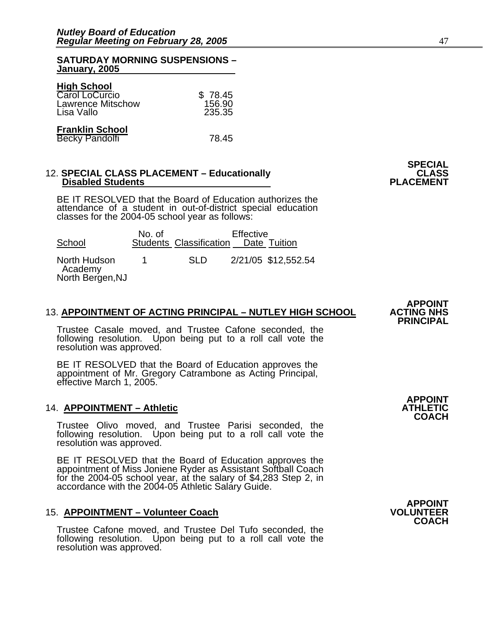#### **SATURDAY MORNING SUSPENSIONS – January, 2005**

| <b>High School</b><br>Carol LoCurcio            | \$78.45 |
|-------------------------------------------------|---------|
| <b>Lawrence Mitschow</b>                        | 156.90  |
| Lisa Vallo                                      | 235.35  |
| <b>Franklin School</b><br><b>Becky Pandolfi</b> | 78.45   |

#### 12. **SPECIAL CLASS PLACEMENT – Educationally CLASS**<br>PLACEMENT – Disabled Students **Disabled Students**

BE IT RESOLVED that the Board of Education authorizes the attendance of a student in out-of-district special education classes for the 2004-05 school year as follows:

| School                                      | No. of | Students Classification Date Tuition | Effective |                     |
|---------------------------------------------|--------|--------------------------------------|-----------|---------------------|
| North Hudson<br>Academy<br>North Bergen, NJ |        | -SLD                                 |           | 2/21/05 \$12,552.54 |

#### **13. APPOINTMENT OF ACTING PRINCIPAL – NUTLEY HIGH SCHOOL**

Trustee Casale moved, and Trustee Cafone seconded, the following resolution. Upon being put to a roll call vote the resolution was approved.

BE IT RESOLVED that the Board of Education approves the appointment of Mr. Gregory Catrambone as Acting Principal, effective March 1, 2005.

#### 14. **APPOINTMENT – Athletic**

Trustee Olivo moved, and Trustee Parisi seconded, the following resolution. Upon being put to a roll call vote the resolution was approved.

BE IT RESOLVED that the Board of Education approves the appointment of Miss Joniene Ryder as Assistant Softball Coach for the 2004-05 school year, at the salary of \$4,283 Step 2, in accordance with the 2004-05 Athletic Salary Guide.

#### 15. **APPOINTMENT – Volunteer Coach**

Trustee Cafone moved, and Trustee Del Tufo seconded, the following resolution. Upon being put to a roll call vote the resolution was approved. **APPOINT** 

**PRINCIPAL** 

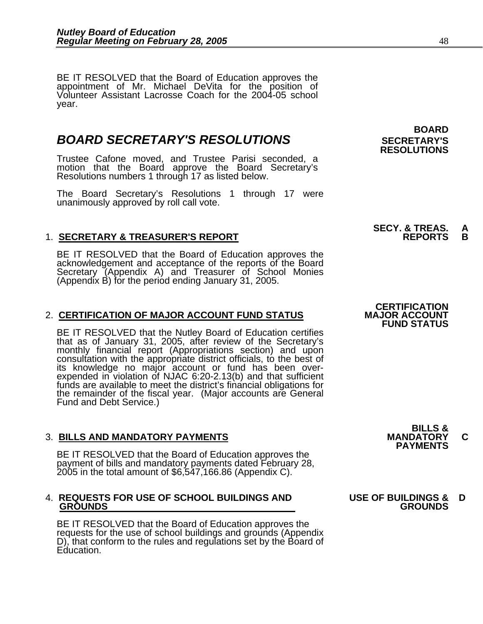BE IT RESOLVED that the Board of Education approves the appointment of Mr. Michael DeVita for the position of Volunteer Assistant Lacrosse Coach for the 2004-05 school year.

## **BOARD SECRETARY'S RESOLUTIONS** SECRETARY'S

Trustee Cafone moved, and Trustee Parisi seconded, a motion that the Board approve the Board Secretary's Resolutions numbers 1 through 17 as listed below.

The Board Secretary's Resolutions 1 through 17 were unanimously approved by roll call vote.

### 1. <u>SECRETARY & TREASURER'S REPORT</u>

BE IT RESOLVED that the Board of Education approves the<br>acknowledgement and acceptance of the reports of the Board<br>Secretary (Appendix A) and Treasurer of School Monies (Appendix B) for the period ending January 31, 2005.

#### 2. CERTIFICATION OF MAJOR ACCOUNT FUND STATUS

BE IT RESOLVED that the Nutley Board of Education certifies that as of January 31, 2005, after review of the Secretary's monthly financial report (Appropriations section) and upon consultation with the appropriate district officials, to the best of its knowledge no major account or fund has been overexpended in violation of NJAC 6:20-2.13(b) and that sufficient funds are available to meet the district's financial obligations for the remainder of the fiscal year. (Major accounts are General Fund and Debt Service.)

3. BILLS AND MANDATORY PAYMENTS<br>BE IT RESOLVED that the Board of Education approves the **PAYMENTS** payment of bills and mandatory payments dated February 28, 2005 in the total amount of \$6,547,166.86 (Appendix C).

#### 4. **REQUESTS FOR USE OF SCHOOL BUILDINGS AND USE OF BUILDINGS & D GROUNDS GROUNDS**

BE IT RESOLVED that the Board of Education approves the requests for the use of school buildings and grounds (Appendix D), that conform to the rules and regulations set by the Board of Education.

# **BOARD RESOLUTIONS**

**SECY. & TREAS. A** 

**CERTIFICATION<br>MAJOR ACCOUNT FUND STATUS** 

**BILLS &**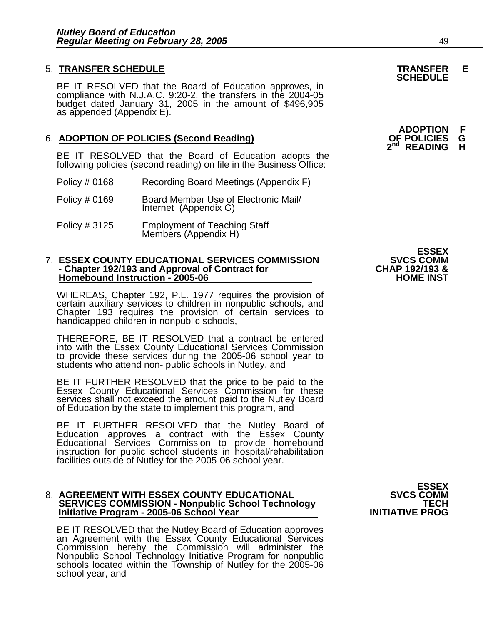# 5. **TRANSFER SCHEDULE TRANSFER E SCHEDULE**

BE IT RESOLVED that the Board of Education approves, in compliance with N.J.A.C. 9:20-2, the transfers in the 2004-05 budget dated January 31, 2005 in the amount of \$496,905 as appended (Appendix E).

# 6. **ADOPTION OF POLICIES (Second Reading) OF POLICIES G**

BE IT RESOLVED that the Board of Education adopts the following policies (second reading) on file in the Business Office:

- Policy # 0168 Recording Board Meetings (Appendix F)
- Policy # 0169 Board Member Use of Electronic Mail/ Internet (Appendix G)
- Policy # 3125 Employment of Teaching Staff Members (Appendix H)

#### 7. ESSEX COUNTY EDUCATIONAL SERVICES COMMISSION **SVCS COMM**<br>4 Chapter 192/193 and Approval of Contract for **SCIAL CHAP - Chapter 192/193 and Approval of Contract for CHAP 192/193 & Homebound Instruction - 2005-06 HOME INST**

WHEREAS, Chapter 192, P.L. 1977 requires the provision of certain auxiliary services to children in nonpublic schools, and Chapter 193 requires the provision of certain services to handicapped children in nonpublic schools,

THEREFORE, BE IT RESOLVED that a contract be entered into with the Essex County Educational Services Commission to provide these services during the 2005-06 school year to students who attend non- public schools in Nutley, and

BE IT FURTHER RESOLVED that the price to be paid to the Essex County Educational Services Commission for these services shall not exceed the amount paid to the Nutley Board of Education by the state to implement this program, and

BE IT FURTHER RESOLVED that the Nutley Board of Education approves a contract with the Essex County Educational Services Commission to provide homebound instruction for public school students in hospital/rehabilitation facilities outside of Nutley for the 2005-06 school year.

## 8. **AGREEMENT WITH ESSEX COUNTY EDUCATIONAL SVCS COMM SERVICES COMMISSION - Nonpublic School Technology FECH Initiative Program - 2005-06 School Year INITIATIVE PROG**

BE IT RESOLVED that the Nutley Board of Education approves an Agreement with the Essex County Educational Services Commission hereby the Commission will administer the Nonpublic School Technology Initiative Program for non schools located within the Township of Nutley for the 2005-06 school year, and **ESSEX**<br>SVCS COMM

**ESSEX**<br>SVCS COMM

**ADOPTION F READING**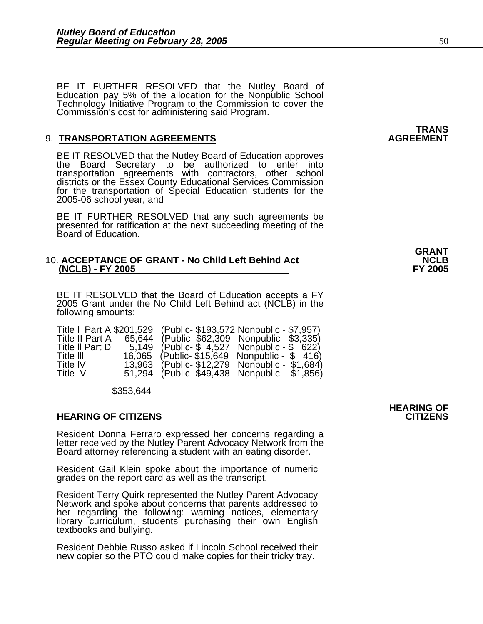BE IT FURTHER RESOLVED that the Nutley Board of Education pay 5% of the allocation for the Nonpublic School Technology Initiative Program to the Commission to cover the Commission's cost for administering said Program.

#### **9. TRANSPORTATION AGREEMENTS**

BE IT RESOLVED that the Nutley Board of Education approves<br>the Board Secretary to be authorized to enter into transportation agreements with contractors, other school districts or the Essex County Educational Services Commission for the transportation of Special Education students for the 2005-06 school year, and

BE IT FURTHER RESOLVED that any such agreements be presented for ratification at the next succeeding meeting of the Board of Education.

#### 10. **ACCEPTANCE OF GRANT - No Child Left Behind Act NCLB (NCLB) - FY 2005 FY 2005**

BE IT RESOLVED that the Board of Education accepts a FY 2005 Grant under the No Child Left Behind act (NCLB) in the following amounts:

| Title I Part A \$201,529 |        | (Public- \$193,572 Nonpublic - \$7,957) |
|--------------------------|--------|-----------------------------------------|
| Title II Part A          | 65.644 | (Public- \$62,309 Nonpublic - \$3,335)  |
| Title II Part D          | 5.149  | (Public- \$4,527 Nonpublic - \$622)     |
| Title III                | 16.065 | (Public-\$15,649 Nonpublic - \$416)     |
| <b>Title IV</b>          | 13,963 | (Public-\$12,279 Nonpublic - \$1,684)   |
| Title V                  | 51.294 | (Public-\$49,438 Nonpublic - \$1,856)   |

\$353,644

#### **HEARING OF CITIZENS CITIZENS**

Resident Donna Ferraro expressed her concerns regarding a letter received by the Nutley Parent Advocacy Network from the Board attorney referencing a student with an eating disorder.

Resident Gail Klein spoke about the importance of numeric grades on the report card as well as the transcript.

Resident Terry Quirk represented the Nutley Parent Advocacy<br>Network and spoke about concerns that parents addressed to<br>her regarding the following: warning notices, elementary<br>library curriculum, students purchasing their

Resident Debbie Russo asked if Lincoln School received their new copier so the PTO could make copies for their tricky tray.

**GRANT** 

# **HEARING OF**